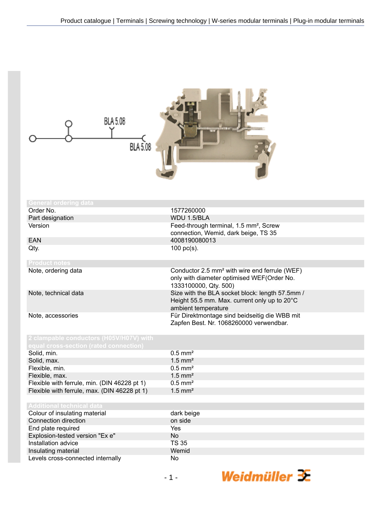| BLA 5.08<br><b>BLA 5.08</b>                                                       |                                                                                                                                  |
|-----------------------------------------------------------------------------------|----------------------------------------------------------------------------------------------------------------------------------|
| <b>General ordering data</b>                                                      |                                                                                                                                  |
| Order No.                                                                         | 1577260000                                                                                                                       |
| Part designation                                                                  | WDU 1.5/BLA                                                                                                                      |
| Version                                                                           | Feed-through terminal, 1.5 mm <sup>2</sup> , Screw<br>connection, Wemid, dark beige, TS 35                                       |
| <b>EAN</b>                                                                        | 4008190080013                                                                                                                    |
| Qty.                                                                              | $100$ pc(s).                                                                                                                     |
| <b>Product notes</b>                                                              |                                                                                                                                  |
| Note, ordering data                                                               | Conductor 2.5 mm <sup>2</sup> with wire end ferrule (WEF)<br>only with diameter optimised WEF(Order No.<br>1333100000, Qty. 500) |
| Note, technical data                                                              | Size with the BLA socket block: length 57.5mm /<br>Height 55.5 mm. Max. current only up to 20°C<br>ambient temperature           |
| Note, accessories                                                                 | Für Direktmontage sind beidseitig die WBB mit<br>Zapfen Best. Nr. 1068260000 verwendbar.                                         |
| 2 clampable conductors (H05V/H07V) witl<br>equal cross-section (rated connection) |                                                                                                                                  |
| Solid, min.                                                                       | $0.5$ mm <sup>2</sup>                                                                                                            |
| Solid, max.                                                                       | $1.5$ mm <sup>2</sup>                                                                                                            |
| Flexible, min.                                                                    | $0.5$ mm <sup>2</sup>                                                                                                            |
| Flexible, max.                                                                    | $1.5$ mm <sup>2</sup>                                                                                                            |
| Flexible with ferrule, min. (DIN 46228 pt 1)                                      | $0.5$ mm <sup>2</sup>                                                                                                            |
| Flexible with ferrule, max. (DIN 46228 pt 1)                                      | $1.5$ mm <sup>2</sup>                                                                                                            |
| <b>Additional technical data</b>                                                  |                                                                                                                                  |
| Colour of insulating material                                                     | dark beige                                                                                                                       |
| Connection direction                                                              | on side                                                                                                                          |
| End plate required                                                                | Yes                                                                                                                              |
| Explosion-tested version "Ex e"                                                   | <b>No</b>                                                                                                                        |
| Installation advice                                                               | <b>TS 35</b>                                                                                                                     |
| Insulating material                                                               | Wemid                                                                                                                            |
| Levels cross-connected internally                                                 | No                                                                                                                               |
|                                                                                   | Weidmüller $\mathcal{F}$<br>$-1-$                                                                                                |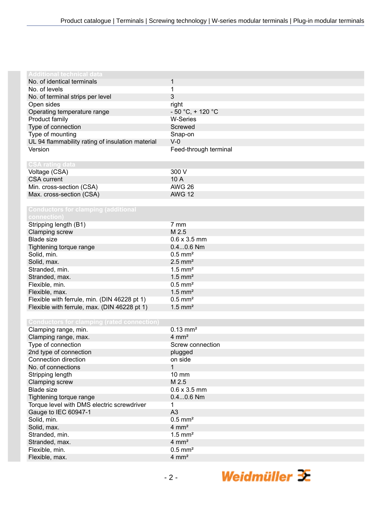| <b>Additional technical data</b>                  |                       |
|---------------------------------------------------|-----------------------|
| No. of identical terminals                        | 1                     |
| No. of levels                                     | 1                     |
| No. of terminal strips per level                  | 3                     |
| Open sides                                        | right                 |
| Operating temperature range                       | $-50 °C$ , + 120 °C   |
| Product family                                    | <b>W-Series</b>       |
| Type of connection                                | Screwed               |
| Type of mounting                                  | Snap-on               |
| UL 94 flammability rating of insulation material  | $V-0$                 |
| Version                                           | Feed-through terminal |
|                                                   |                       |
| <b>CSA rating data</b>                            |                       |
| Voltage (CSA)                                     | 300 V                 |
| <b>CSA</b> current                                | 10 A                  |
| Min. cross-section (CSA)                          | <b>AWG 26</b>         |
| Max. cross-section (CSA)                          | <b>AWG 12</b>         |
|                                                   |                       |
| <b>Conductors for clamping (additional</b>        |                       |
|                                                   |                       |
| connection)                                       | 7 mm                  |
| Stripping length (B1)                             |                       |
| Clamping screw                                    | M 2.5                 |
| <b>Blade size</b>                                 | $0.6 \times 3.5$ mm   |
| Tightening torque range                           | $0.40.6$ Nm           |
| Solid, min.                                       | $0.5$ mm <sup>2</sup> |
| Solid, max.                                       | $2.5$ mm <sup>2</sup> |
| Stranded, min.                                    | $1.5$ mm <sup>2</sup> |
| Stranded, max.                                    | $1.5$ mm <sup>2</sup> |
| Flexible, min.                                    | $0.5$ mm <sup>2</sup> |
| Flexible, max.                                    | $1.5$ mm <sup>2</sup> |
| Flexible with ferrule, min. (DIN 46228 pt 1)      | $0.5$ mm <sup>2</sup> |
| Flexible with ferrule, max. (DIN 46228 pt 1)      | $1.5$ mm <sup>2</sup> |
|                                                   |                       |
| <b>Conductors for clamping (rated connection)</b> |                       |
| Clamping range, min.                              | $0.13 \text{ mm}^2$   |
| Clamping range, max.                              | $4 \, \text{mm}^2$    |
| Type of connection                                | Screw connection      |
| 2nd type of connection                            | plugged               |
| Connection direction                              | on side               |
| No. of connections                                | 1                     |
| Stripping length                                  | 10 mm                 |
| Clamping screw                                    | M 2.5                 |
| <b>Blade size</b>                                 | $0.6 \times 3.5$ mm   |
| Tightening torque range                           | $0.40.6$ Nm           |
| Torque level with DMS electric screwdriver        | 1                     |
|                                                   | A3                    |
| Gauge to IEC 60947-1                              |                       |
| Solid, min.                                       | $0.5$ mm <sup>2</sup> |
| Solid, max.                                       | $4 \, \text{mm}^2$    |
| Stranded, min.                                    | $1.5$ mm <sup>2</sup> |
| Stranded, max.                                    | $4 \, \text{mm}^2$    |
| Flexible, min.                                    | $0.5$ mm <sup>2</sup> |
| Flexible, max.                                    | $4 \, \text{mm}^2$    |
|                                                   |                       |

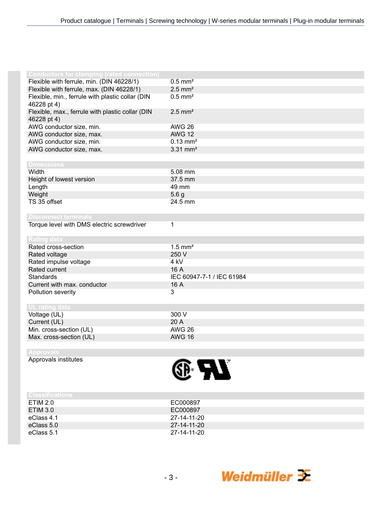| <b>Conductors for clamping (rated connection)</b> |                           |
|---------------------------------------------------|---------------------------|
| Flexible with ferrule, min. (DIN 46228/1)         | $0.5$ mm <sup>2</sup>     |
| Flexible with ferrule, max. (DIN 46228/1)         | $2.5$ mm <sup>2</sup>     |
| Flexible, min., ferrule with plastic collar (DIN  | $0.5$ mm <sup>2</sup>     |
| 46228 pt 4)                                       |                           |
| Flexible, max., ferrule with plastic collar (DIN  | $2.5$ mm <sup>2</sup>     |
| 46228 pt 4)                                       |                           |
| AWG conductor size, min.                          | <b>AWG 26</b>             |
| AWG conductor size, max.                          | <b>AWG 12</b>             |
| AWG conductor size, min.                          | $0.13 \, \text{mm}^2$     |
| AWG conductor size, max.                          | $3.31$ mm <sup>2</sup>    |
|                                                   |                           |
| <b>Dimensions</b>                                 |                           |
| Width                                             | 5.08 mm                   |
| Height of lowest version                          | 37.5 mm                   |
| Length                                            | 49 mm                     |
| Weight                                            | 5.6 <sub>g</sub>          |
| TS 35 offset                                      | 24.5 mm                   |
|                                                   |                           |
| <b>Disconnect terminals</b>                       |                           |
| Torque level with DMS electric screwdriver        | 1                         |
|                                                   |                           |
| <b>Rating data</b>                                |                           |
| Rated cross-section                               | $1.5$ mm <sup>2</sup>     |
| Rated voltage                                     | 250 V                     |
| Rated impulse voltage                             | 4 <sub>kV</sub>           |
| Rated current                                     | 16 A                      |
| <b>Standards</b>                                  | IEC 60947-7-1 / IEC 61984 |
| Current with max. conductor                       | 16 A                      |
| Pollution severity                                | 3                         |
|                                                   |                           |
| <b>UL rating data</b>                             |                           |
| Voltage (UL)                                      | 300 V                     |
| Current (UL)                                      | 20 A                      |
| Min. cross-section (UL)                           | <b>AWG 26</b>             |
| Max. cross-section (UL)                           | <b>AWG 16</b>             |
|                                                   |                           |

## **Approvals**

Approvals institutes



| l Ulassifications |             |
|-------------------|-------------|
| ETIM 2.0          | EC000897    |
| ETIM 3.0          | EC000897    |
| eClass 4.1        | 27-14-11-20 |
| eClass 5.0        | 27-14-11-20 |
| eClass 5.1        | 27-14-11-20 |